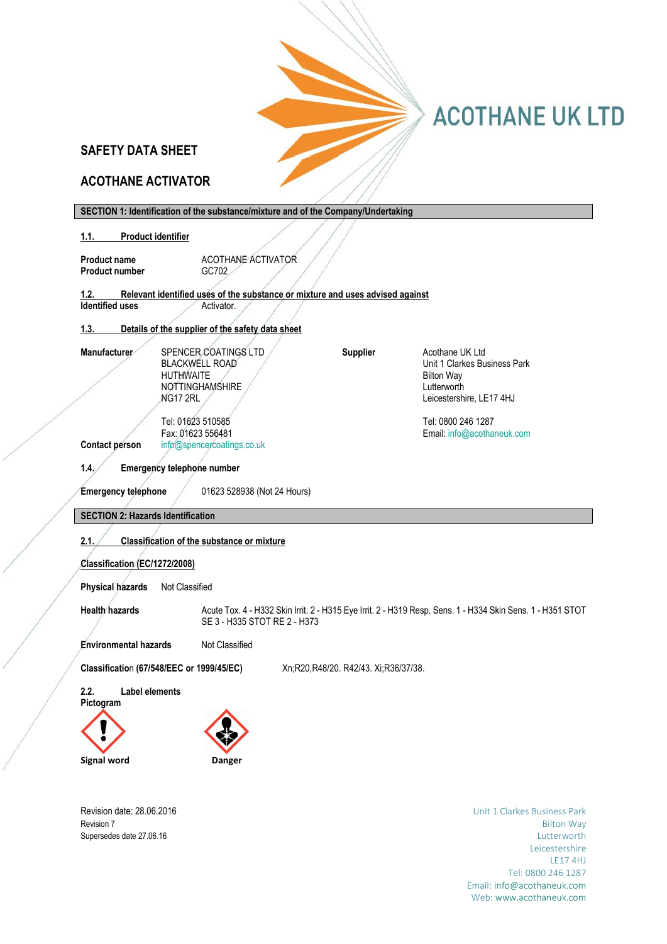# **SAFETY DATA SHEET**

# **ACOTHANE ACTIVATOR**

| SECTION 1: Identification of the substance/mixture and of the Company/Undertaking     |                                      |                                                                                                            |
|---------------------------------------------------------------------------------------|--------------------------------------|------------------------------------------------------------------------------------------------------------|
| 1.1.<br><b>Product identifier</b>                                                     |                                      |                                                                                                            |
| ACOTHANE ACTIVATOR<br><b>Product name</b>                                             |                                      |                                                                                                            |
| <b>Product number</b><br>GC702                                                        |                                      |                                                                                                            |
| Relevant identified uses of the substance or mixture and uses advised against<br>1.2. |                                      |                                                                                                            |
| <b>Identified uses</b><br>Activator.                                                  |                                      |                                                                                                            |
| Details of the supplier of the safety data sheet<br>1.3.                              |                                      |                                                                                                            |
|                                                                                       |                                      |                                                                                                            |
| SPENCER COATINGS LTD<br><b>Manufacturer</b><br><b>BLACKWELL ROAD</b>                  | <b>Supplier</b>                      | Acothane UK Ltd<br>Unit 1 Clarkes Business Park                                                            |
| <b>HUTHWAITE</b>                                                                      |                                      | <b>Bilton Way</b>                                                                                          |
| <b>NOTTINGHAMSHIRE</b>                                                                |                                      | Lutterworth                                                                                                |
| NG17 2RL                                                                              |                                      | Leicestershire, LE17 4HJ                                                                                   |
| Tel: 01623 510585                                                                     |                                      | Tel: 0800 246 1287                                                                                         |
| Fax: 01623 556481<br>Contact person<br>info@spencercoatings.co.uk                     |                                      | Email: info@acothaneuk.com                                                                                 |
|                                                                                       |                                      |                                                                                                            |
| 1.4.<br><b>Emergency telephone number</b>                                             |                                      |                                                                                                            |
| <b>Emergency telephone</b><br>01623 528938 (Not 24 Hours)                             |                                      |                                                                                                            |
|                                                                                       |                                      |                                                                                                            |
| <b>SECTION 2: Hazards Identification</b>                                              |                                      |                                                                                                            |
| 2.1.<br><b>Classification of the substance or mixture</b>                             |                                      |                                                                                                            |
| Classification (EC/1272/2008)                                                         |                                      |                                                                                                            |
| <b>Physical hazards</b><br>Not Classified                                             |                                      |                                                                                                            |
| <b>Health hazards</b>                                                                 |                                      | Acute Tox. 4 - H332 Skin Irrit. 2 - H315 Eye Irrit. 2 - H319 Resp. Sens. 1 - H334 Skin Sens. 1 - H351 STOT |
| SE 3 - H335 STOT RE 2 - H373                                                          |                                      |                                                                                                            |
| <b>Environmental hazards</b><br>Not Classified                                        |                                      |                                                                                                            |
| Classification (67/548/EEC or 1999/45/EC)                                             | Xn;R20,R48/20. R42/43. Xi;R36/37/38. |                                                                                                            |
| 2.2.<br><b>Label elements</b>                                                         |                                      |                                                                                                            |
| Pictogram                                                                             |                                      |                                                                                                            |
|                                                                                       |                                      |                                                                                                            |
|                                                                                       |                                      |                                                                                                            |
| Signal word<br>Danger                                                                 |                                      |                                                                                                            |

 $\|T\|$  [Type here]  $\|T\|$  [Type here]  $\|T\|$ 

Revision date: 28.06.2016 **Revision date: 28.06.2016** Unit 1 Clarkes Business Park **Revision 7** Bilton Way Supersedes date 27.06.16 Lutterworth **Lutterworth** Leicestershire LE17 4HJ Tel: 0800 246 1287 Email[: info@acothaneuk.com](mailto:info@acothaneuk.com) Web[: www.acothaneuk.com](http://www.acothaneuk.com/)

**ACOTHANE UK LTD**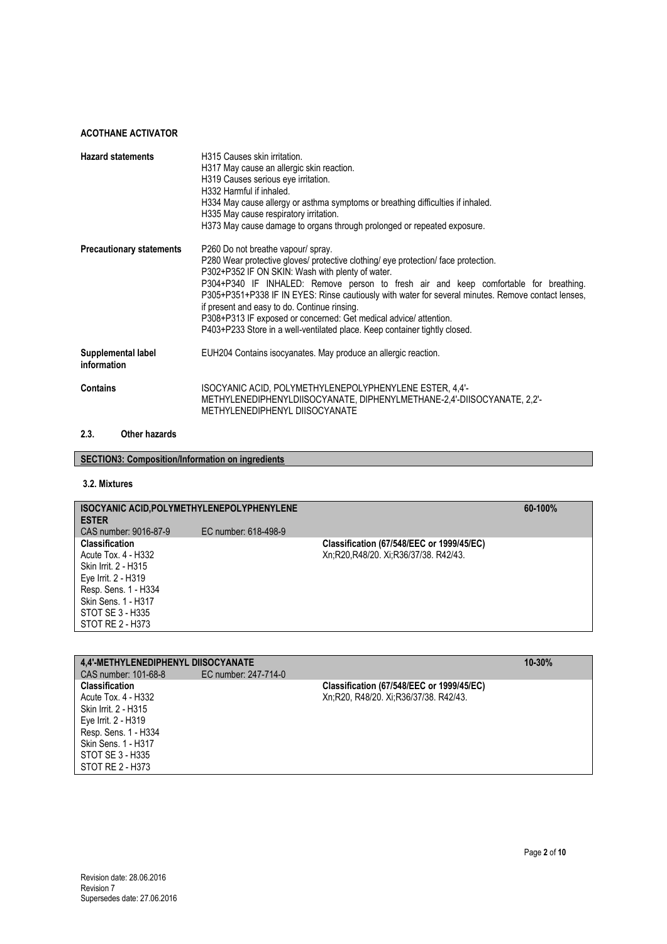| <b>Hazard statements</b>          | H315 Causes skin irritation.<br>H317 May cause an allergic skin reaction.<br>H319 Causes serious eye irritation.<br>H332 Harmful if inhaled.<br>H334 May cause allergy or asthma symptoms or breathing difficulties if inhaled.<br>H335 May cause respiratory irritation.<br>H373 May cause damage to organs through prolonged or repeated exposure.                                                                                                                                                                                                                         |
|-----------------------------------|------------------------------------------------------------------------------------------------------------------------------------------------------------------------------------------------------------------------------------------------------------------------------------------------------------------------------------------------------------------------------------------------------------------------------------------------------------------------------------------------------------------------------------------------------------------------------|
| <b>Precautionary statements</b>   | P260 Do not breathe vapour/ spray.<br>P280 Wear protective gloves/ protective clothing/ eye protection/ face protection.<br>P302+P352 IF ON SKIN: Wash with plenty of water.<br>P304+P340 IF INHALED: Remove person to fresh air and keep comfortable for breathing.<br>P305+P351+P338 IF IN EYES: Rinse cautiously with water for several minutes. Remove contact lenses,<br>if present and easy to do. Continue rinsing.<br>P308+P313 IF exposed or concerned: Get medical advice/attention.<br>P403+P233 Store in a well-ventilated place. Keep container tightly closed. |
| Supplemental label<br>information | EUH204 Contains isocyanates. May produce an allergic reaction.                                                                                                                                                                                                                                                                                                                                                                                                                                                                                                               |
| <b>Contains</b>                   | ISOCYANIC ACID, POLYMETHYLENEPOLYPHENYLENE ESTER, 4,4'-<br>METHYLENEDIPHENYLDIISOCYANATE, DIPHENYLMETHANE-2,4'-DIISOCYANATE, 2,2'-<br>METHYLENEDIPHENYL DIISOCYANATE                                                                                                                                                                                                                                                                                                                                                                                                         |

#### **2.3. Other hazards**

# **3.2. Mixtures**

| <b>ISOCYANIC ACID, POLYMETHYLENEPOLYPHENYLENE</b><br><b>ESTER</b> |                      |                                           | $60-100%$ |
|-------------------------------------------------------------------|----------------------|-------------------------------------------|-----------|
| CAS number: 9016-87-9                                             | EC number: 618-498-9 |                                           |           |
| <b>Classification</b>                                             |                      | Classification (67/548/EEC or 1999/45/EC) |           |
| Acute Tox. 4 - H332                                               |                      | Xn;R20,R48/20. Xi;R36/37/38. R42/43.      |           |
| Skin Irrit. 2 - H315                                              |                      |                                           |           |
| Eye Irrit. 2 - H319                                               |                      |                                           |           |
| Resp. Sens. 1 - H334                                              |                      |                                           |           |
| Skin Sens. 1 - H317                                               |                      |                                           |           |
| STOT SE 3 - H335                                                  |                      |                                           |           |
| STOT RE 2 - H373                                                  |                      |                                           |           |
|                                                                   |                      |                                           |           |

| <b>4.4'-METHYLENEDIPHENYL DIISOCYANATE</b> |                      |                                           | $10 - 30%$ |
|--------------------------------------------|----------------------|-------------------------------------------|------------|
| CAS number: 101-68-8                       | EC number: 247-714-0 |                                           |            |
| <b>Classification</b>                      |                      | Classification (67/548/EEC or 1999/45/EC) |            |
| Acute Tox. 4 - H332                        |                      | Xn;R20, R48/20. Xi;R36/37/38. R42/43.     |            |
| Skin Irrit. 2 - H315                       |                      |                                           |            |
| Eye Irrit. 2 - H319                        |                      |                                           |            |
| Resp. Sens. 1 - H334                       |                      |                                           |            |
| Skin Sens. 1 - H317                        |                      |                                           |            |
| STOT SE 3 - H335                           |                      |                                           |            |
| STOT RE 2 - H373                           |                      |                                           |            |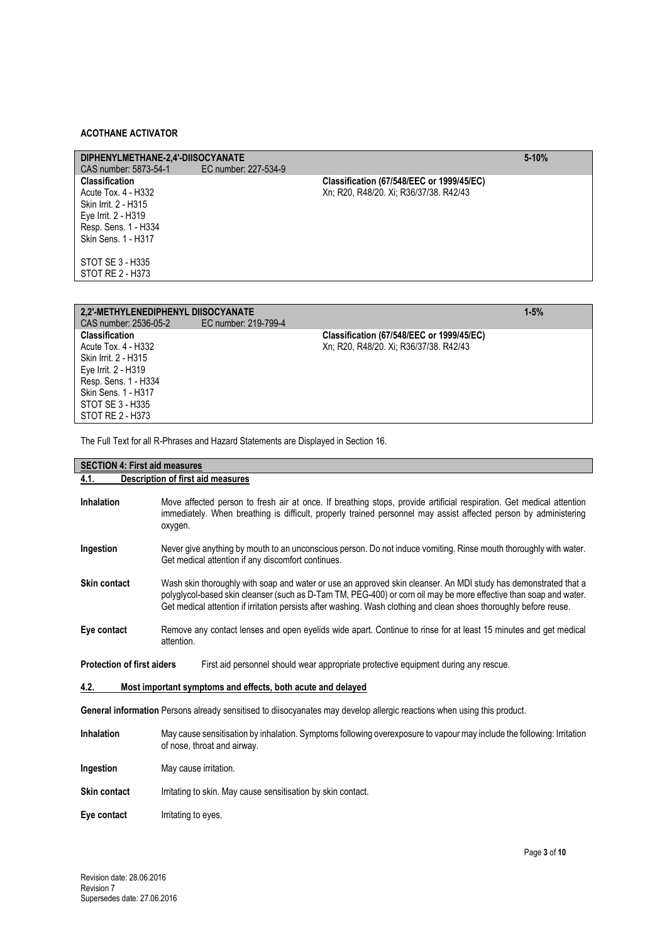| DIPHENYLMETHANE-2.4'-DIISOCYANATE<br>CAS number: 5873-54-1                                                                                 | EC number: 227-534-9 |                                                                                     | $5 - 10%$ |
|--------------------------------------------------------------------------------------------------------------------------------------------|----------------------|-------------------------------------------------------------------------------------|-----------|
| <b>Classification</b><br>Acute Tox. 4 - H332<br>Skin Irrit. 2 - H315<br>Eye Irrit. 2 - H319<br>Resp. Sens. 1 - H334<br>Skin Sens. 1 - H317 |                      | Classification (67/548/EEC or 1999/45/EC)<br>Xn; R20, R48/20. Xi; R36/37/38. R42/43 |           |
| STOT SE 3 - H335<br>STOT RE 2 - H373                                                                                                       |                      |                                                                                     |           |

| 2.2'-METHYLENEDIPHENYL DIISOCYANATE |                      |                                                  | $1 - 5%$ |
|-------------------------------------|----------------------|--------------------------------------------------|----------|
| CAS number: 2536-05-2               | EC number: 219-799-4 |                                                  |          |
| <b>Classification</b>               |                      | <b>Classification (67/548/EEC or 1999/45/EC)</b> |          |
| Acute Tox. 4 - H332                 |                      | Xn; R20, R48/20. Xi; R36/37/38. R42/43           |          |
| Skin Irrit. 2 - H315                |                      |                                                  |          |
| Eye Irrit. 2 - H319                 |                      |                                                  |          |
| Resp. Sens. 1 - H334                |                      |                                                  |          |
| Skin Sens. 1 - H317                 |                      |                                                  |          |
| STOT SE 3 - H335                    |                      |                                                  |          |
| STOT RE 2 - H373                    |                      |                                                  |          |

The Full Text for all R-Phrases and Hazard Statements are Displayed in Section 16.

| <b>SECTION 4: First aid measures</b>                                |                                                                                                                                                                                                                                                                                                                                                            |  |  |
|---------------------------------------------------------------------|------------------------------------------------------------------------------------------------------------------------------------------------------------------------------------------------------------------------------------------------------------------------------------------------------------------------------------------------------------|--|--|
| 4.1.                                                                | <b>Description of first aid measures</b>                                                                                                                                                                                                                                                                                                                   |  |  |
| Inhalation                                                          | Move affected person to fresh air at once. If breathing stops, provide artificial respiration. Get medical attention<br>immediately. When breathing is difficult, properly trained personnel may assist affected person by administering<br>oxygen.                                                                                                        |  |  |
| Ingestion                                                           | Never give anything by mouth to an unconscious person. Do not induce vomiting. Rinse mouth thoroughly with water.<br>Get medical attention if any discomfort continues.                                                                                                                                                                                    |  |  |
| <b>Skin contact</b>                                                 | Wash skin thoroughly with soap and water or use an approved skin cleanser. An MDI study has demonstrated that a<br>polyglycol-based skin cleanser (such as D-Tam TM, PEG-400) or corn oil may be more effective than soap and water.<br>Get medical attention if irritation persists after washing. Wash clothing and clean shoes thoroughly before reuse. |  |  |
| Eye contact                                                         | Remove any contact lenses and open eyelids wide apart. Continue to rinse for at least 15 minutes and get medical<br>attention.                                                                                                                                                                                                                             |  |  |
|                                                                     | <b>Protection of first aiders</b><br>First aid personnel should wear appropriate protective equipment during any rescue.                                                                                                                                                                                                                                   |  |  |
| 4.2.<br>Most important symptoms and effects, both acute and delayed |                                                                                                                                                                                                                                                                                                                                                            |  |  |
|                                                                     | General information Persons already sensitised to diisocyanates may develop allergic reactions when using this product.                                                                                                                                                                                                                                    |  |  |
| Inhalation                                                          | May cause sensitisation by inhalation. Symptoms following overexposure to vapour may include the following: Irritation<br>of nose, throat and airway.                                                                                                                                                                                                      |  |  |
| Ingestion                                                           | May cause irritation.                                                                                                                                                                                                                                                                                                                                      |  |  |
| Skin contact                                                        | Irritating to skin. May cause sensitisation by skin contact.                                                                                                                                                                                                                                                                                               |  |  |
| Eye contact                                                         | Irritating to eyes.                                                                                                                                                                                                                                                                                                                                        |  |  |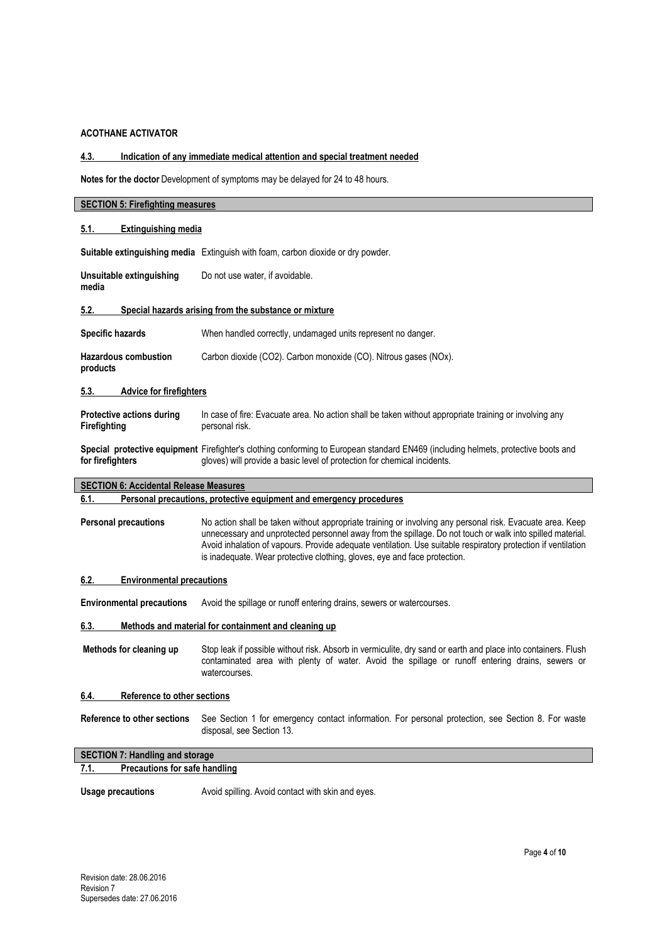# **4.3. Indication of any immediate medical attention and special treatment needed**

**Notes for the doctor** Development of symptoms may be delayed for 24 to 48 hours.

| <b>SECTION 5: Firefighting measures</b>       |                                                                                                                                                                                                                                                                                                                                                                                                                      |  |
|-----------------------------------------------|----------------------------------------------------------------------------------------------------------------------------------------------------------------------------------------------------------------------------------------------------------------------------------------------------------------------------------------------------------------------------------------------------------------------|--|
| <b>Extinguishing media</b><br>5.1.            |                                                                                                                                                                                                                                                                                                                                                                                                                      |  |
|                                               | Suitable extinguishing media Extinguish with foam, carbon dioxide or dry powder.                                                                                                                                                                                                                                                                                                                                     |  |
| Unsuitable extinguishing<br>media             | Do not use water, if avoidable.                                                                                                                                                                                                                                                                                                                                                                                      |  |
| 5.2.                                          | Special hazards arising from the substance or mixture                                                                                                                                                                                                                                                                                                                                                                |  |
| <b>Specific hazards</b>                       | When handled correctly, undamaged units represent no danger.                                                                                                                                                                                                                                                                                                                                                         |  |
| <b>Hazardous combustion</b><br>products       | Carbon dioxide (CO2). Carbon monoxide (CO). Nitrous gases (NOx).                                                                                                                                                                                                                                                                                                                                                     |  |
| 5.3.<br><b>Advice for firefighters</b>        |                                                                                                                                                                                                                                                                                                                                                                                                                      |  |
| Protective actions during<br>Firefighting     | In case of fire: Evacuate area. No action shall be taken without appropriate training or involving any<br>personal risk.                                                                                                                                                                                                                                                                                             |  |
| for firefighters                              | Special protective equipment Firefighter's clothing conforming to European standard EN469 (including helmets, protective boots and<br>gloves) will provide a basic level of protection for chemical incidents.                                                                                                                                                                                                       |  |
| <b>SECTION 6: Accidental Release Measures</b> |                                                                                                                                                                                                                                                                                                                                                                                                                      |  |
| 6.1.                                          | Personal precautions, protective equipment and emergency procedures                                                                                                                                                                                                                                                                                                                                                  |  |
| <b>Personal precautions</b>                   | No action shall be taken without appropriate training or involving any personal risk. Evacuate area. Keep<br>unnecessary and unprotected personnel away from the spillage. Do not touch or walk into spilled material.<br>Avoid inhalation of vapours. Provide adequate ventilation. Use suitable respiratory protection if ventilation<br>is inadequate. Wear protective clothing, gloves, eye and face protection. |  |
| 6.2.<br><b>Environmental precautions</b>      |                                                                                                                                                                                                                                                                                                                                                                                                                      |  |
| <b>Environmental precautions</b>              | Avoid the spillage or runoff entering drains, sewers or watercourses.                                                                                                                                                                                                                                                                                                                                                |  |
| 6.3.                                          | Methods and material for containment and cleaning up                                                                                                                                                                                                                                                                                                                                                                 |  |
| Methods for cleaning up                       | Stop leak if possible without risk. Absorb in vermiculite, dry sand or earth and place into containers. Flush<br>contaminated area with plenty of water. Avoid the spillage or runoff entering drains, sewers or<br>watercourses.                                                                                                                                                                                    |  |
| 6.4.<br><b>Reference to other sections</b>    |                                                                                                                                                                                                                                                                                                                                                                                                                      |  |
| Reference to other sections                   | See Section 1 for emergency contact information. For personal protection, see Section 8. For waste<br>disposal, see Section 13.                                                                                                                                                                                                                                                                                      |  |
| <b>SECTION 7: Handling and storage</b>        |                                                                                                                                                                                                                                                                                                                                                                                                                      |  |
| <b>Precautions for safe handling</b><br>7.1.  |                                                                                                                                                                                                                                                                                                                                                                                                                      |  |
| <b>Usage precautions</b>                      | Avoid spilling. Avoid contact with skin and eyes.                                                                                                                                                                                                                                                                                                                                                                    |  |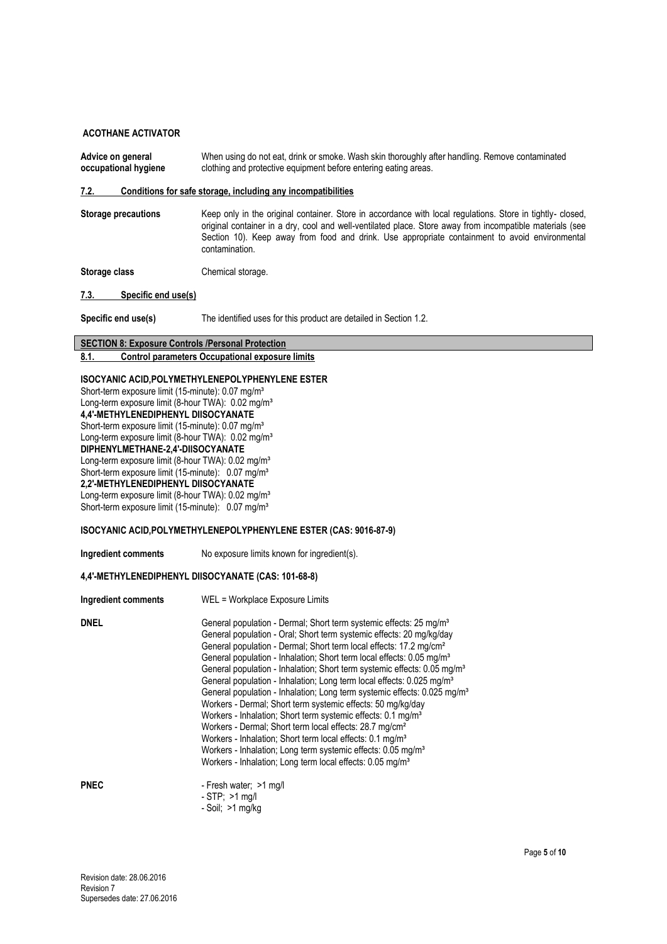Advice on general **When using do not eat, drink or smoke**. Wash skin thoroughly after handling. Remove contaminated **occupational hygiene** clothing and protective equipment before entering eating areas. clothing and protective equipment before entering eating areas.

**7.2. Conditions for safe storage, including any incompatibilities**

Storage precautions **Keep only in the original container.** Store in accordance with local regulations. Store in tightly- closed, original container in a dry, cool and well-ventilated place. Store away from incompatible materials (see Section 10). Keep away from food and drink. Use appropriate containment to avoid environmental contamination.

**Storage class** Chemical storage.

**7.3. Specific end use(s)**

**Specific end use(s)** The identified uses for this product are detailed in Section 1.2.

#### **SECTION 8: Exposure Controls /Personal Protection 8.1. Control parameters Occupational exposure limits**

#### **ISOCYANIC ACID,POLYMETHYLENEPOLYPHENYLENE ESTER**

Short-term exposure limit (15-minute): 0.07 mg/m<sup>3</sup> Long-term exposure limit (8-hour TWA): 0.02 mg/m<sup>3</sup> **4,4'-METHYLENEDIPHENYL DIISOCYANATE** Short-term exposure limit (15-minute): 0.07 mg/m<sup>3</sup> Long-term exposure limit (8-hour TWA): 0.02 mg/m<sup>3</sup> **DIPHENYLMETHANE-2,4'-DIISOCYANATE** Long-term exposure limit (8-hour TWA): 0.02 mg/m<sup>3</sup> Short-term exposure limit (15-minute): 0.07 mg/m<sup>3</sup> **2,2'-METHYLENEDIPHENYL DIISOCYANATE** Long-term exposure limit (8-hour TWA): 0.02 mg/m<sup>3</sup>

Short-term exposure limit (15-minute): 0.07 mg/m<sup>3</sup>

#### **ISOCYANIC ACID,POLYMETHYLENEPOLYPHENYLENE ESTER (CAS: 9016-87-9)**

- Soil; >1 mg/kg

**Ingredient comments** No exposure limits known for ingredient(s).

#### **4,4'-METHYLENEDIPHENYL DIISOCYANATE (CAS: 101-68-8)**

| Ingredient comments | WEL = Workplace Exposure Limits                                                                                                                                                                                                                                                                                                                                                                                                                                                                                                                                                                                                                                                                                                                                                                                                                                                                                                                                                                                                                    |
|---------------------|----------------------------------------------------------------------------------------------------------------------------------------------------------------------------------------------------------------------------------------------------------------------------------------------------------------------------------------------------------------------------------------------------------------------------------------------------------------------------------------------------------------------------------------------------------------------------------------------------------------------------------------------------------------------------------------------------------------------------------------------------------------------------------------------------------------------------------------------------------------------------------------------------------------------------------------------------------------------------------------------------------------------------------------------------|
| <b>DNEL</b>         | General population - Dermal: Short term systemic effects: 25 mg/m <sup>3</sup><br>General population - Oral; Short term systemic effects: 20 mg/kg/day<br>General population - Dermal; Short term local effects: 17.2 mg/cm <sup>2</sup><br>General population - Inhalation; Short term local effects: 0.05 mg/m <sup>3</sup><br>General population - Inhalation; Short term systemic effects: 0.05 mg/m <sup>3</sup><br>General population - Inhalation; Long term local effects: 0.025 mg/m <sup>3</sup><br>General population - Inhalation; Long term systemic effects: 0.025 mg/m <sup>3</sup><br>Workers - Dermal; Short term systemic effects: 50 mg/kg/day<br>Workers - Inhalation; Short term systemic effects: 0.1 mg/m <sup>3</sup><br>Workers - Dermal; Short term local effects: 28.7 mg/cm <sup>2</sup><br>Workers - Inhalation: Short term local effects: 0.1 mg/m <sup>3</sup><br>Workers - Inhalation; Long term systemic effects: 0.05 mg/m <sup>3</sup><br>Workers - Inhalation; Long term local effects: 0.05 mg/m <sup>3</sup> |
| <b>PNEC</b>         | - Fresh water; >1 mg/l<br>$-STP$ ; $>1$ mg/l                                                                                                                                                                                                                                                                                                                                                                                                                                                                                                                                                                                                                                                                                                                                                                                                                                                                                                                                                                                                       |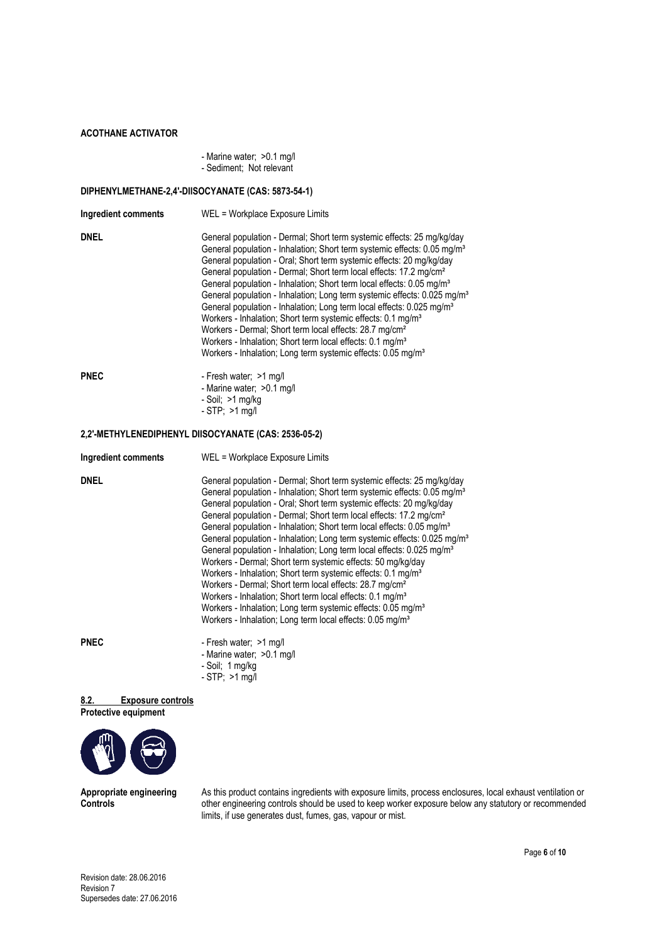| - Marine water; > 0.1 mg/l |  |  |
|----------------------------|--|--|
| - Sediment; Not relevant   |  |  |

#### **DIPHENYLMETHANE-2,4'-DIISOCYANATE (CAS: 5873-54-1)**

| Ingredient comments | WEL = Workplace Exposure Limits                                                                                                                                                                                                                                                                                                                                                                                                                                                                                                                                                                                                                                                                                                                                                                                                                                                                    |
|---------------------|----------------------------------------------------------------------------------------------------------------------------------------------------------------------------------------------------------------------------------------------------------------------------------------------------------------------------------------------------------------------------------------------------------------------------------------------------------------------------------------------------------------------------------------------------------------------------------------------------------------------------------------------------------------------------------------------------------------------------------------------------------------------------------------------------------------------------------------------------------------------------------------------------|
| <b>DNEL</b>         | General population - Dermal; Short term systemic effects: 25 mg/kg/day<br>General population - Inhalation; Short term systemic effects: 0.05 mg/m <sup>3</sup><br>General population - Oral; Short term systemic effects: 20 mg/kg/day<br>General population - Dermal; Short term local effects: 17.2 mg/cm <sup>2</sup><br>General population - Inhalation; Short term local effects: 0.05 mg/m <sup>3</sup><br>General population - Inhalation; Long term systemic effects: 0.025 mg/m <sup>3</sup><br>General population - Inhalation; Long term local effects: 0.025 mg/m <sup>3</sup><br>Workers - Inhalation; Short term systemic effects: 0.1 mg/m <sup>3</sup><br>Workers - Dermal; Short term local effects: 28.7 mg/cm <sup>2</sup><br>Workers - Inhalation; Short term local effects: 0.1 mg/m <sup>3</sup><br>Workers - Inhalation; Long term systemic effects: 0.05 mg/m <sup>3</sup> |
| <b>PNEC</b>         | - Fresh water; >1 mg/l<br>- Marine water: > 0.1 mg/l<br>$-Soil: >1 mg/kg$<br>$-STP$ ; $>1$ mg/l                                                                                                                                                                                                                                                                                                                                                                                                                                                                                                                                                                                                                                                                                                                                                                                                    |

#### **2,2'-METHYLENEDIPHENYL DIISOCYANATE (CAS: 2536-05-2)**

| <b>Ingredient comments</b> | WEL = Workplace Exposure Limits                                                                                                                                                                                                                                                                                                                                                                                                                                                                                                                                                                                                                                                                                                                                                                                                                                                                                                                                                                                                            |
|----------------------------|--------------------------------------------------------------------------------------------------------------------------------------------------------------------------------------------------------------------------------------------------------------------------------------------------------------------------------------------------------------------------------------------------------------------------------------------------------------------------------------------------------------------------------------------------------------------------------------------------------------------------------------------------------------------------------------------------------------------------------------------------------------------------------------------------------------------------------------------------------------------------------------------------------------------------------------------------------------------------------------------------------------------------------------------|
| <b>DNEL</b>                | General population - Dermal; Short term systemic effects: 25 mg/kg/day<br>General population - Inhalation; Short term systemic effects: 0.05 mg/m <sup>3</sup><br>General population - Oral: Short term systemic effects: 20 mg/kg/day<br>General population - Dermal; Short term local effects: 17.2 mg/cm <sup>2</sup><br>General population - Inhalation; Short term local effects: 0.05 mg/m <sup>3</sup><br>General population - Inhalation; Long term systemic effects: 0.025 mg/m <sup>3</sup><br>General population - Inhalation; Long term local effects: 0.025 mg/m <sup>3</sup><br>Workers - Dermal; Short term systemic effects: 50 mg/kg/day<br>Workers - Inhalation; Short term systemic effects: 0.1 mg/m <sup>3</sup><br>Workers - Dermal; Short term local effects: 28.7 mg/cm <sup>2</sup><br>Workers - Inhalation: Short term local effects: 0.1 mg/m <sup>3</sup><br>Workers - Inhalation; Long term systemic effects: 0.05 mg/m <sup>3</sup><br>Workers - Inhalation; Long term local effects: 0.05 mg/m <sup>3</sup> |
| PNEC                       | - Fresh water; >1 mg/l<br>- Marine water; > 0.1 mg/l                                                                                                                                                                                                                                                                                                                                                                                                                                                                                                                                                                                                                                                                                                                                                                                                                                                                                                                                                                                       |

- Soil; 1 mg/kg
- STP; >1 mg/l

# **8.2. Exposure controls**





**Appropriate engineering** As this product contains ingredients with exposure limits, process enclosures, local exhaust ventilation or<br>**Controls** controls other engineering controls should be used to keep worker exposure be **Controls** other engineering controls should be used to keep worker exposure below any statutory or recommended limits, if use generates dust, fumes, gas, vapour or mist.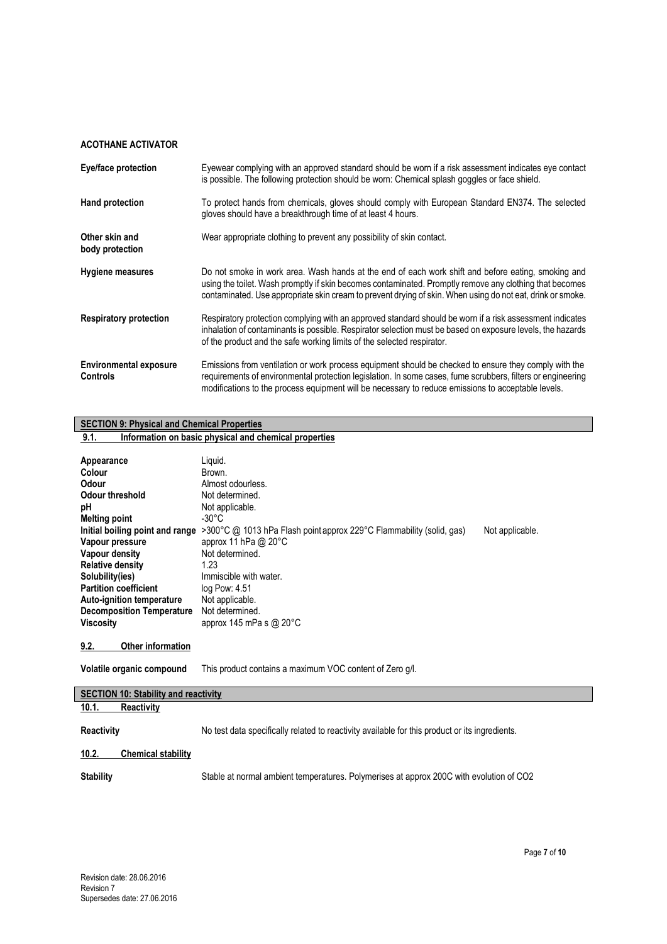| Eye/face protection                              | Eyewear complying with an approved standard should be worn if a risk assessment indicates eye contact<br>is possible. The following protection should be worn: Chemical splash goggles or face shield.                                                                                                                      |
|--------------------------------------------------|-----------------------------------------------------------------------------------------------------------------------------------------------------------------------------------------------------------------------------------------------------------------------------------------------------------------------------|
| Hand protection                                  | To protect hands from chemicals, gloves should comply with European Standard EN374. The selected<br>gloves should have a breakthrough time of at least 4 hours.                                                                                                                                                             |
| Other skin and<br>body protection                | Wear appropriate clothing to prevent any possibility of skin contact.                                                                                                                                                                                                                                                       |
| <b>Hygiene measures</b>                          | Do not smoke in work area. Wash hands at the end of each work shift and before eating, smoking and<br>using the toilet. Wash promptly if skin becomes contaminated. Promptly remove any clothing that becomes<br>contaminated. Use appropriate skin cream to prevent drying of skin. When using do not eat, drink or smoke. |
| <b>Respiratory protection</b>                    | Respiratory protection complying with an approved standard should be worn if a risk assessment indicates<br>inhalation of contaminants is possible. Respirator selection must be based on exposure levels, the hazards<br>of the product and the safe working limits of the selected respirator.                            |
| <b>Environmental exposure</b><br><b>Controls</b> | Emissions from ventilation or work process equipment should be checked to ensure they comply with the<br>requirements of environmental protection legislation. In some cases, fume scrubbers, filters or engineering<br>modifications to the process equipment will be necessary to reduce emissions to acceptable levels.  |

# **SECTION 9: Physical and Chemical Properties**

# **9.1. Information on basic physical and chemical properties**

| Appearance<br>Colour<br>Odour<br>Odour threshold<br>рH<br><b>Melting point</b><br>Initial boiling point and range<br>Vapour pressure<br>Vapour density<br><b>Relative density</b><br>Solubility(ies)<br><b>Partition coefficient</b><br>Auto-ignition temperature<br><b>Decomposition Temperature</b><br>Viscositv | Liguid.<br>Brown.<br>Almost odourless.<br>Not determined.<br>Not applicable.<br>-30°C<br>>300 °C @ 1013 hPa Flash point approx 229 °C Flammability (solid, qas)<br>approx 11 hPa @ $20^{\circ}$ C<br>Not determined.<br>1.23<br>Immiscible with water.<br>log Pow: 4.51<br>Not applicable.<br>Not determined.<br>approx 145 mPa s $@$ 20 $°C$ | Not applicable. |
|--------------------------------------------------------------------------------------------------------------------------------------------------------------------------------------------------------------------------------------------------------------------------------------------------------------------|-----------------------------------------------------------------------------------------------------------------------------------------------------------------------------------------------------------------------------------------------------------------------------------------------------------------------------------------------|-----------------|
| 9.2.<br><b>Other information</b>                                                                                                                                                                                                                                                                                   |                                                                                                                                                                                                                                                                                                                                               |                 |
| Volatile organic compound                                                                                                                                                                                                                                                                                          | This product contains a maximum VOC content of Zero q/l.                                                                                                                                                                                                                                                                                      |                 |

## **SECTION 10: Stability and reactivity**

**10.1. Reactivity**

Reactivity No test data specifically related to reactivity available for this product or its ingredients.

# **10.2. Chemical stability**

**Stability** Stable at normal ambient temperatures. Polymerises at approx 200C with evolution of CO2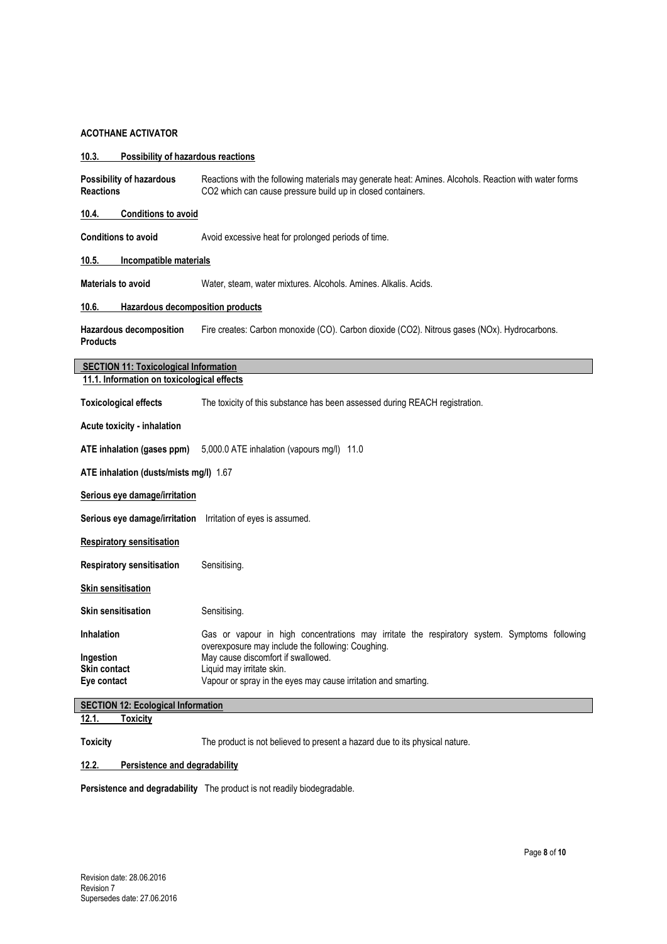| 10.3.<br><b>Possibility of hazardous reactions</b> |                                                                                                                                                                      |  |
|----------------------------------------------------|----------------------------------------------------------------------------------------------------------------------------------------------------------------------|--|
| Possibility of hazardous<br><b>Reactions</b>       | Reactions with the following materials may generate heat: Amines. Alcohols. Reaction with water forms<br>CO2 which can cause pressure build up in closed containers. |  |
| <b>Conditions to avoid</b><br>10.4.                |                                                                                                                                                                      |  |
| <b>Conditions to avoid</b>                         | Avoid excessive heat for prolonged periods of time.                                                                                                                  |  |
| 10.5.                                              | Incompatible materials                                                                                                                                               |  |
| <b>Materials to avoid</b>                          | Water, steam, water mixtures. Alcohols. Amines. Alkalis. Acids.                                                                                                      |  |
| 10.6.<br>Hazardous decomposition products          |                                                                                                                                                                      |  |
| Hazardous decomposition<br><b>Products</b>         | Fire creates: Carbon monoxide (CO). Carbon dioxide (CO2). Nitrous gases (NOx). Hydrocarbons.                                                                         |  |
| <b>SECTION 11: Toxicological Information</b>       |                                                                                                                                                                      |  |
| 11.1. Information on toxicological effects         |                                                                                                                                                                      |  |
| <b>Toxicological effects</b>                       | The toxicity of this substance has been assessed during REACH registration.                                                                                          |  |
| Acute toxicity - inhalation                        |                                                                                                                                                                      |  |
| ATE inhalation (gases ppm)                         | 5,000.0 ATE inhalation (vapours mg/l) 11.0                                                                                                                           |  |
| ATE inhalation (dusts/mists mg/l) 1.67             |                                                                                                                                                                      |  |
| Serious eye damage/irritation                      |                                                                                                                                                                      |  |
| Serious eye damage/irritation                      | Irritation of eyes is assumed.                                                                                                                                       |  |
| <b>Respiratory sensitisation</b>                   |                                                                                                                                                                      |  |
| <b>Respiratory sensitisation</b>                   | Sensitising.                                                                                                                                                         |  |
| <b>Skin sensitisation</b>                          |                                                                                                                                                                      |  |
| <b>Skin sensitisation</b>                          | Sensitising.                                                                                                                                                         |  |
| <b>Inhalation</b>                                  | Gas or vapour in high concentrations may irritate the respiratory system. Symptoms following<br>overexposure may include the following: Coughing.                    |  |
| Ingestion                                          | May cause discomfort if swallowed.                                                                                                                                   |  |
| Skin contact                                       | Liquid may irritate skin.                                                                                                                                            |  |
| Eye contact                                        | Vapour or spray in the eyes may cause irritation and smarting.                                                                                                       |  |
| <b>SECTION 12: Ecological Information</b>          |                                                                                                                                                                      |  |
| 12.1.<br><b>Toxicity</b>                           |                                                                                                                                                                      |  |

Toxicity The product is not believed to present a hazard due to its physical nature.

#### **12.2. Persistence and degradability**

**Persistence and degradability** The product is not readily biodegradable.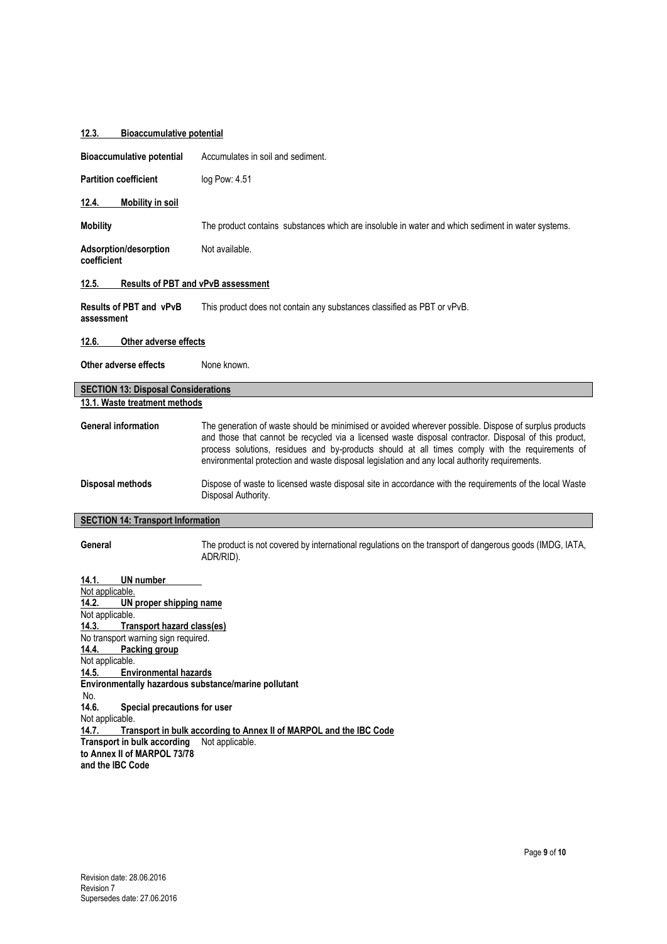# **12.3. Bioaccumulative potential**

| Accumulates in soil and sediment.                                                                                                                                                                                                                                                                                                                                                                                                                                                                                                                                                                 |  |
|---------------------------------------------------------------------------------------------------------------------------------------------------------------------------------------------------------------------------------------------------------------------------------------------------------------------------------------------------------------------------------------------------------------------------------------------------------------------------------------------------------------------------------------------------------------------------------------------------|--|
| log Pow: 4.51                                                                                                                                                                                                                                                                                                                                                                                                                                                                                                                                                                                     |  |
|                                                                                                                                                                                                                                                                                                                                                                                                                                                                                                                                                                                                   |  |
| The product contains substances which are insoluble in water and which sediment in water systems.                                                                                                                                                                                                                                                                                                                                                                                                                                                                                                 |  |
| Not available.                                                                                                                                                                                                                                                                                                                                                                                                                                                                                                                                                                                    |  |
| Results of PBT and vPvB assessment                                                                                                                                                                                                                                                                                                                                                                                                                                                                                                                                                                |  |
| This product does not contain any substances classified as PBT or vPvB.                                                                                                                                                                                                                                                                                                                                                                                                                                                                                                                           |  |
| Other adverse effects                                                                                                                                                                                                                                                                                                                                                                                                                                                                                                                                                                             |  |
| None known.                                                                                                                                                                                                                                                                                                                                                                                                                                                                                                                                                                                       |  |
| <b>SECTION 13: Disposal Considerations</b>                                                                                                                                                                                                                                                                                                                                                                                                                                                                                                                                                        |  |
| 13.1. Waste treatment methods                                                                                                                                                                                                                                                                                                                                                                                                                                                                                                                                                                     |  |
| The generation of waste should be minimised or avoided wherever possible. Dispose of surplus products<br>and those that cannot be recycled via a licensed waste disposal contractor. Disposal of this product,<br>process solutions, residues and by-products should at all times comply with the requirements of<br>environmental protection and waste disposal legislation and any local authority requirements.                                                                                                                                                                                |  |
| Dispose of waste to licensed waste disposal site in accordance with the requirements of the local Waste<br>Disposal Authority.                                                                                                                                                                                                                                                                                                                                                                                                                                                                    |  |
| <b>SECTION 14: Transport Information</b>                                                                                                                                                                                                                                                                                                                                                                                                                                                                                                                                                          |  |
| The product is not covered by international regulations on the transport of dangerous goods (IMDG, IATA,<br>ADR/RID).                                                                                                                                                                                                                                                                                                                                                                                                                                                                             |  |
| UN number<br>14.1.<br>Not applicable.<br><b>UN proper shipping name</b><br>14.2.<br>Not applicable.<br><b>Transport hazard class(es)</b><br>14.3.<br>No transport warning sign required.<br>14.4. Packing group<br>Not applicable.<br><b>Environmental hazards</b><br>14.5.<br>Environmentally hazardous substance/marine pollutant<br>No.<br>14.6.<br>Special precautions for user<br>Not applicable.<br>Transport in bulk according to Annex II of MARPOL and the IBC Code<br>14.7.<br><b>Transport in bulk according</b><br>Not applicable.<br>to Annex II of MARPOL 73/78<br>and the IBC Code |  |
|                                                                                                                                                                                                                                                                                                                                                                                                                                                                                                                                                                                                   |  |